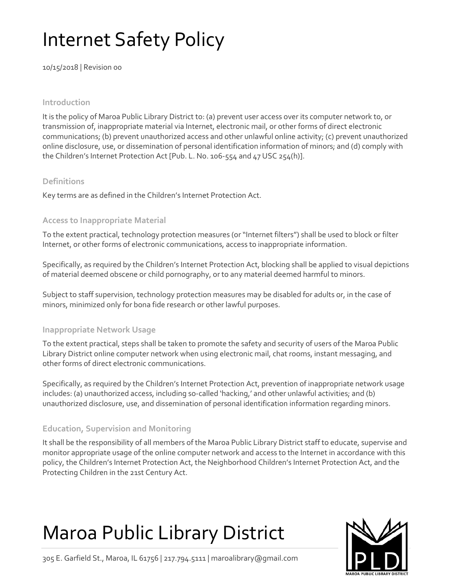# Internet Safety Policy

10/15/2018 | Revision 00

#### **Introduction**

It is the policy of Maroa Public Library District to: (a) prevent user access over its computer network to, or transmission of, inappropriate material via Internet, electronic mail, or other forms of direct electronic communications; (b) prevent unauthorized access and other unlawful online activity; (c) prevent unauthorized online disclosure, use, or dissemination of personal identification information of minors; and (d) comply with the Children's Internet Protection Act [Pub. L. No. 106-554 and 47 USC 254(h)].

#### **Definitions**

Key terms are as defined in the Children's Internet Protection Act.

#### **Access to Inappropriate Material**

To the extent practical, technology protection measures (or "Internet filters") shall be used to block or filter Internet, or other forms of electronic communications, access to inappropriate information.

Specifically, as required by the Children's Internet Protection Act, blocking shall be applied to visual depictions of material deemed obscene or child pornography, or to any material deemed harmful to minors.

Subject to staff supervision, technology protection measures may be disabled for adults or, in the case of minors, minimized only for bona fide research or other lawful purposes.

#### **Inappropriate Network Usage**

To the extent practical, steps shall be taken to promote the safety and security of users of the Maroa Public Library District online computer network when using electronic mail, chat rooms, instant messaging, and other forms of direct electronic communications.

Specifically, as required by the Children's Internet Protection Act, prevention of inappropriate network usage includes: (a) unauthorized access, including so-called 'hacking,' and other unlawful activities; and (b) unauthorized disclosure, use, and dissemination of personal identification information regarding minors.

### **Education, Supervision and Monitoring**

It shall be the responsibility of all members of the Maroa Public Library District staff to educate, supervise and monitor appropriate usage of the online computer network and access to the Internet in accordance with this policy, the Children's Internet Protection Act, the Neighborhood Children's Internet Protection Act, and the Protecting Children in the 21st Century Act.

## Maroa Public Library District



305 E. Garfield St., Maroa, IL 61756 | 217.794.5111 | maroalibrary@gmail.com